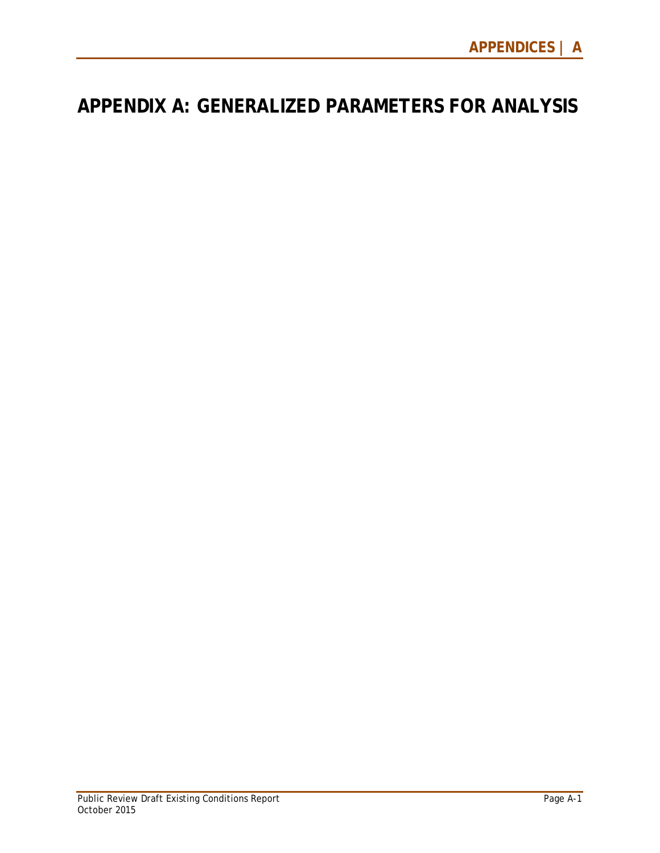## **APPENDIX A: GENERALIZED PARAMETERS FOR ANALYSIS**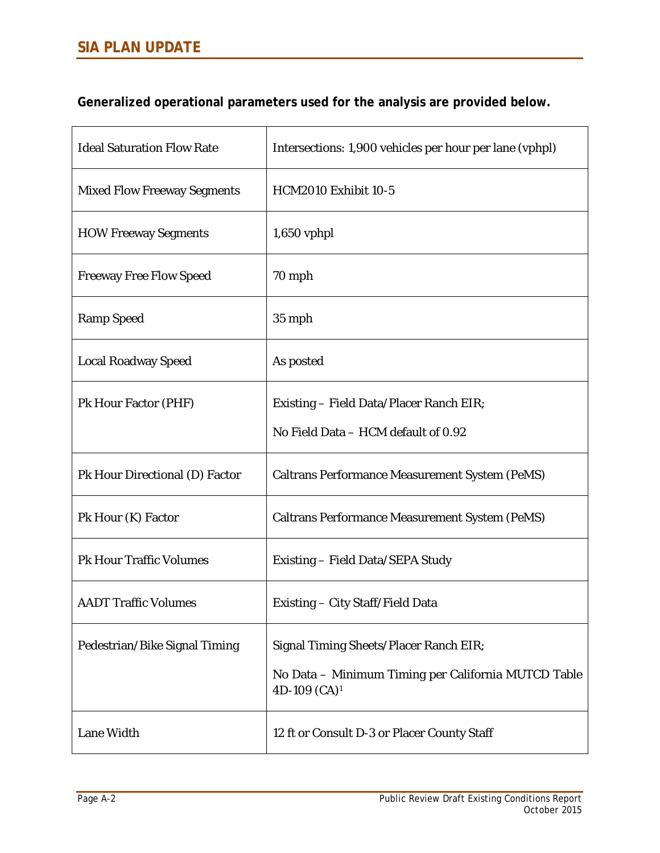**Generalized operational parameters used for the analysis are provided below.**

| <b>Ideal Saturation Flow Rate</b>  | Intersections: 1,900 vehicles per hour per lane (vphpl)                |
|------------------------------------|------------------------------------------------------------------------|
| <b>Mixed Flow Freeway Segments</b> | <b>HCM2010 Exhibit 10-5</b>                                            |
| <b>HOW Freeway Segments</b>        | $1,650$ vphpl                                                          |
| <b>Freeway Free Flow Speed</b>     | 70 mph                                                                 |
| <b>Ramp Speed</b>                  | 35 mph                                                                 |
| <b>Local Roadway Speed</b>         | As posted                                                              |
| Pk Hour Factor (PHF)               | Existing – Field Data/Placer Ranch EIR;                                |
|                                    | No Field Data - HCM default of 0.92                                    |
| Pk Hour Directional (D) Factor     | <b>Caltrans Performance Measurement System (PeMS)</b>                  |
| Pk Hour (K) Factor                 | <b>Caltrans Performance Measurement System (PeMS)</b>                  |
| <b>Pk Hour Traffic Volumes</b>     | Existing - Field Data/SEPA Study                                       |
| <b>AADT Traffic Volumes</b>        | Existing – City Staff/Field Data                                       |
| Pedestrian/Bike Signal Timing      | Signal Timing Sheets/Placer Ranch EIR;                                 |
|                                    | No Data - Minimum Timing per California MUTCD Table<br>4D-109 $(CA)^1$ |
| Lane Width                         | 12 ft or Consult D-3 or Placer County Staff                            |